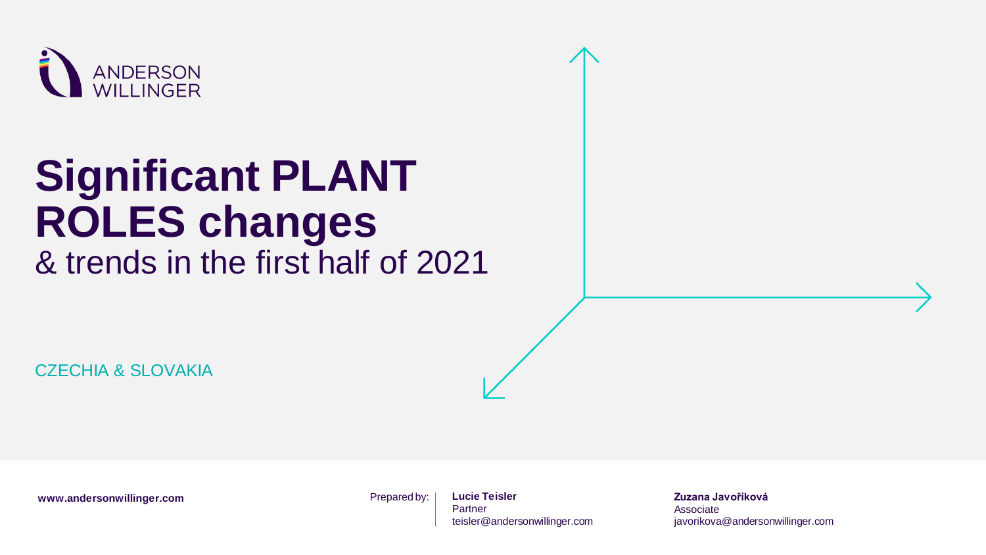

# **Significant PLANT ROLES changes**

& trends in the first half of 2021

CZECHIA & SI OVAKIA

www.andersonwillinger.com **Prepared by:** 

**Lucie Teisler Partner** teisler@andersonwillinger.com **Zuzana Javoříková** Associate javorikova@andersonwillinger.com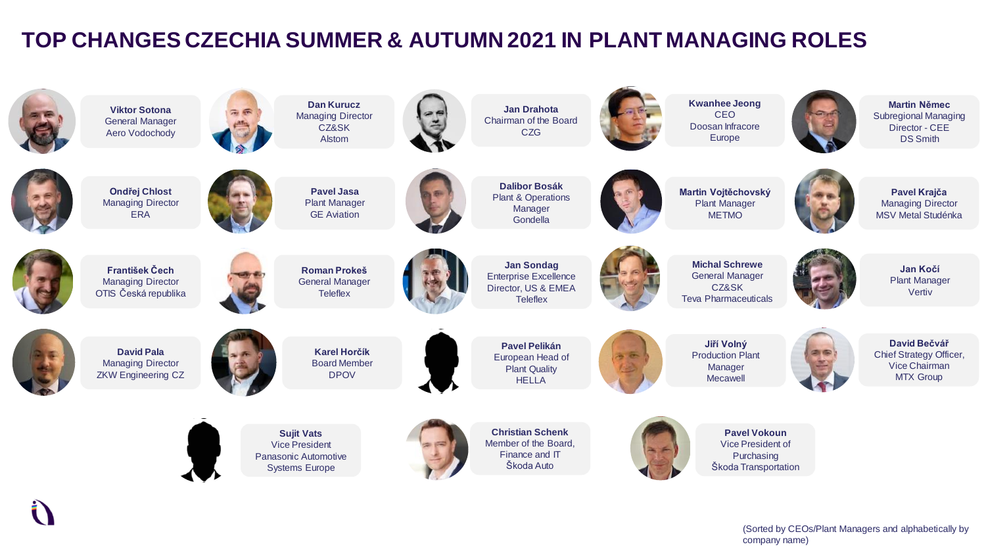#### **TOP CHANGES CZECHIA SUMMER & AUTUMN 2021 IN PLANT MANAGING ROLES**

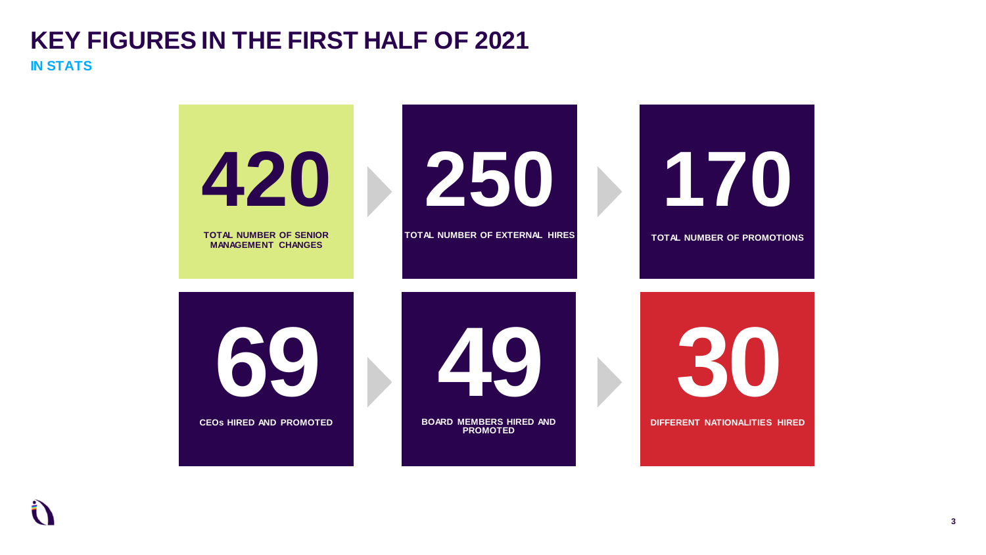#### **KEY FIGURES IN THE FIRST HALF OF 2021 IN STATS**

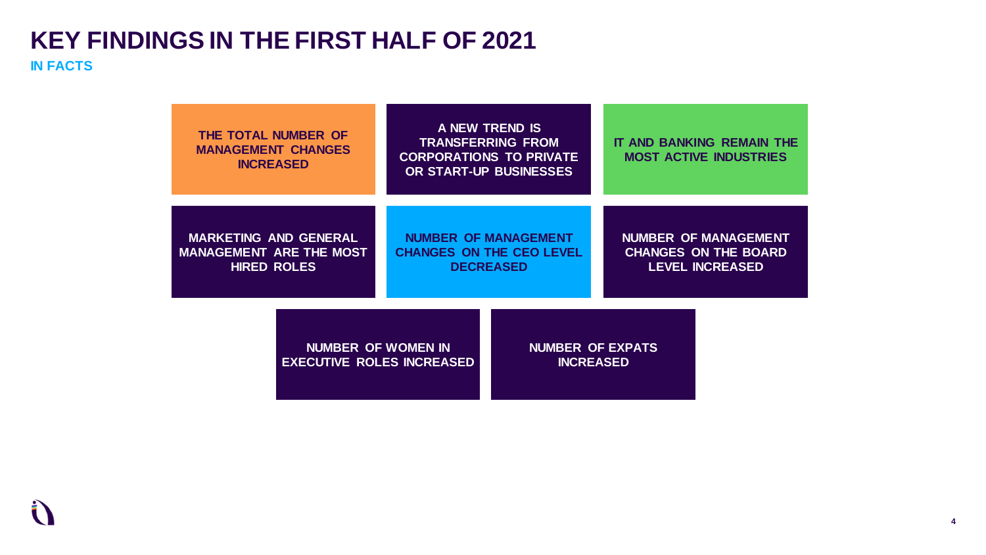#### **KEY FINDINGS IN THE FIRST HALF OF 2021 IN FACTS**

| THE TOTAL NUMBER OF<br><b>MANAGEMENT CHANGES</b><br><b>INCREASED</b>                 | A NEW TREND IS<br><b>TRANSFERRING FROM</b><br><b>CORPORATIONS TO PRIVATE</b><br>OR START-UP BUSINESSES |                                             | IT AND BANKING REMAIN THE<br><b>MOST ACTIVE INDUSTRIES</b>                           |  |
|--------------------------------------------------------------------------------------|--------------------------------------------------------------------------------------------------------|---------------------------------------------|--------------------------------------------------------------------------------------|--|
| <b>MARKETING AND GENERAL</b><br><b>MANAGEMENT ARE THE MOST</b><br><b>HIRED ROLES</b> | <b>NUMBER OF MANAGEMENT</b><br><b>CHANGES ON THE CEO LEVEL</b><br><b>DECREASED</b>                     |                                             | <b>NUMBER OF MANAGEMENT</b><br><b>CHANGES ON THE BOARD</b><br><b>LEVEL INCREASED</b> |  |
| NUMBER OF WOMEN IN<br><b>EXECUTIVE ROLES INCREASED</b>                               |                                                                                                        | <b>NUMBER OF EXPATS</b><br><b>INCREASED</b> |                                                                                      |  |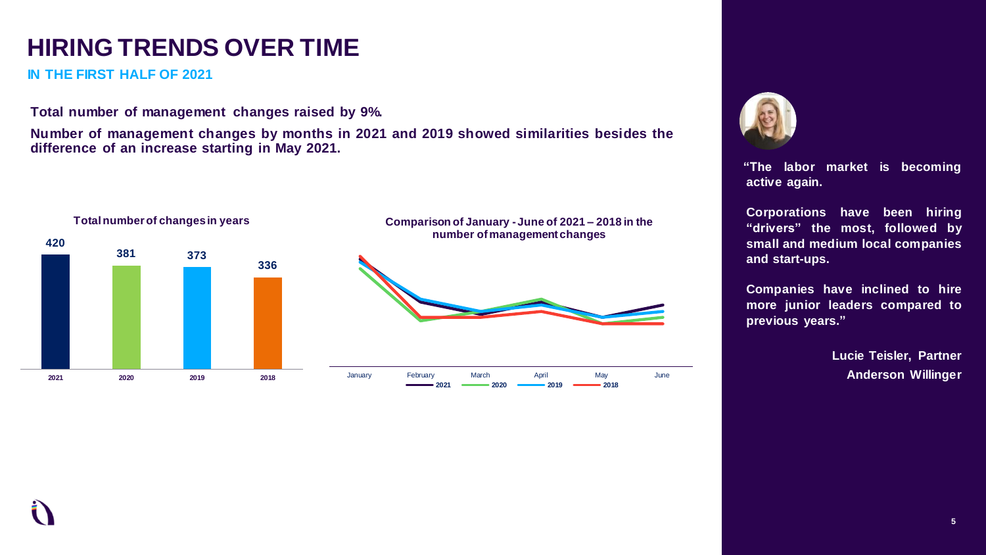# **HIRING TRENDS OVER TIME**

**IN THE FIRST HALF OF 2021**

**Total number of management changes raised by 9%.**

**Number of management changes by months in 2021 and 2019 showed similarities besides the difference of an increase starting in May 2021.**





**"The labor market is becoming active again.**

**Corporations have been hiring "drivers" the most, followed by small and medium local companies and start-ups.**

**Companies have inclined to hire more junior leaders compared to previous years."**

> **Lucie Teisler, Partner Anderson Willinger**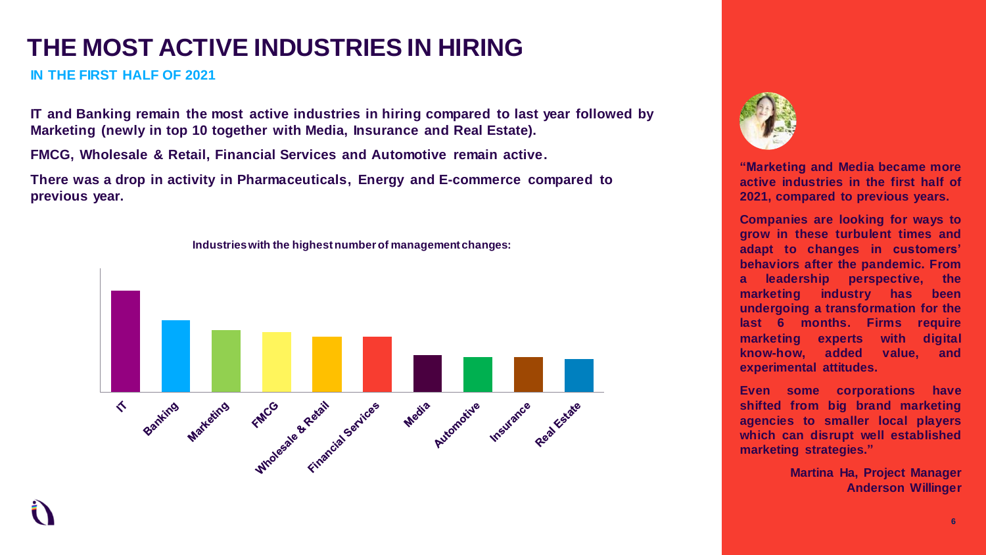# **THE MOST ACTIVE INDUSTRIES IN HIRING**

**IN THE FIRST HALF OF 2021**

**IT and Banking remain the most active industries in hiring compared to last year followed by Marketing (newly in top 10 together with Media, Insurance and Real Estate).** 

**FMCG, Wholesale & Retail, Financial Services and Automotive remain active.**

**There was a drop in activity in Pharmaceuticals, Energy and E-commerce compared to previous year.** 



**Industries with the highest number of management changes:** 



**"Marketing and Media became more active industries in the first half of 2021, compared to previous years.**

**Companies are looking for ways to grow in these turbulent times and adapt to changes in customers' behaviors after the pandemic. From a leadership perspective, the marketing industry has been undergoing a transformation for the last 6 months. Firms require marketing experts with digital know-how, added value, and experimental attitudes.**

**Even some corporations have shifted from big brand marketing agencies to smaller local players which can disrupt well established marketing strategies."**

> **Martina Ha, Project Manager Anderson Willinger**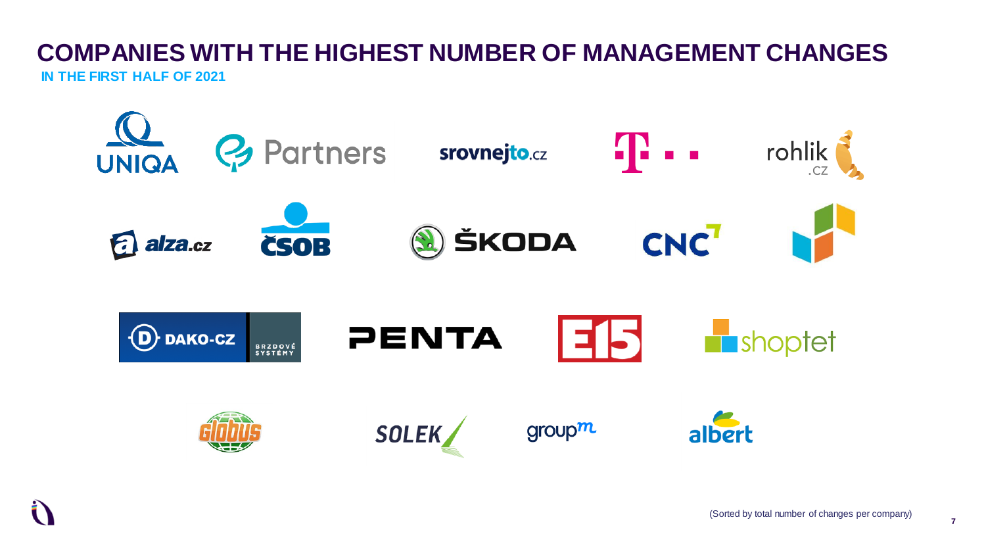#### **COMPANIES WITH THE HIGHEST NUMBER OF MANAGEMENT CHANGES IN THE FIRST HALF OF 2021**

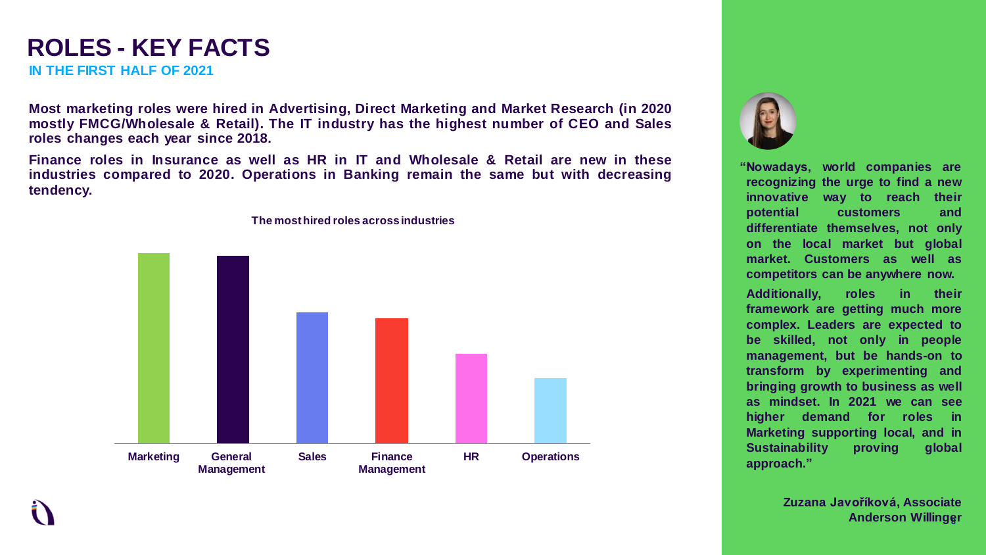#### **ROLES - KEY FACTS IN THE FIRST HALF OF 2021**

**Most marketing roles were hired in Advertising, Direct Marketing and Market Research (in 2020 mostly FMCG/Wholesale & Retail). The IT industry has the highest number of CEO and Sales roles changes each year since 2018.**

**Finance roles in Insurance as well as HR in IT and Wholesale & Retail are new in these industries compared to 2020. Operations in Banking remain the same but with decreasing tendency.**



**The most hired roles across industries**



**"Nowadays, world companies are recognizing the urge to find a new innovative way to reach their potential customers and differentiate themselves, not only on the local market but global market. Customers as well as competitors can be anywhere now.**

**Additionally, roles in their framework are getting much more complex. Leaders are expected to be skilled, not only in people management, but be hands-on to transform by experimenting and bringing growth to business as well as mindset. In 2021 we can see higher demand for roles in Marketing supporting local, and in Sustainability proving global approach."**

> **8 Anderson Willinger Zuzana Javoříková, Associate**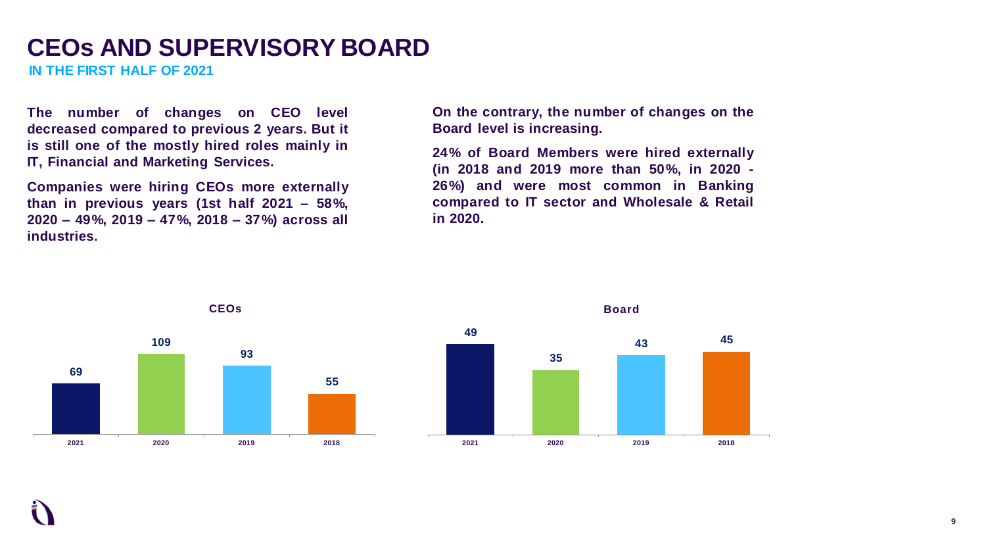#### **CEOs AND SUPERVISORY BOARD**

**IN THE FIRST HALF OF 2021**

**The number of changes on CEO level decreased compared to previous 2 years. But it is still one of the mostly hired roles mainly in IT, Financial and Marketing Services.**

**Companies were hiring CEOs more externally than in previous years (1st half 2021 – 58%, 2020 – 49%, 2019 – 47%, 2018 – 37%) across all industries.**

**On the contrary, the number of changes on the Board level is increasing.**

**24% of Board Members were hired externally (in 2018 and 2019 more than 50%, in 2020 - 26%) and were most common in Banking compared to IT sector and Wholesale & Retail in 2020.**





**2021 2020 2019 2018**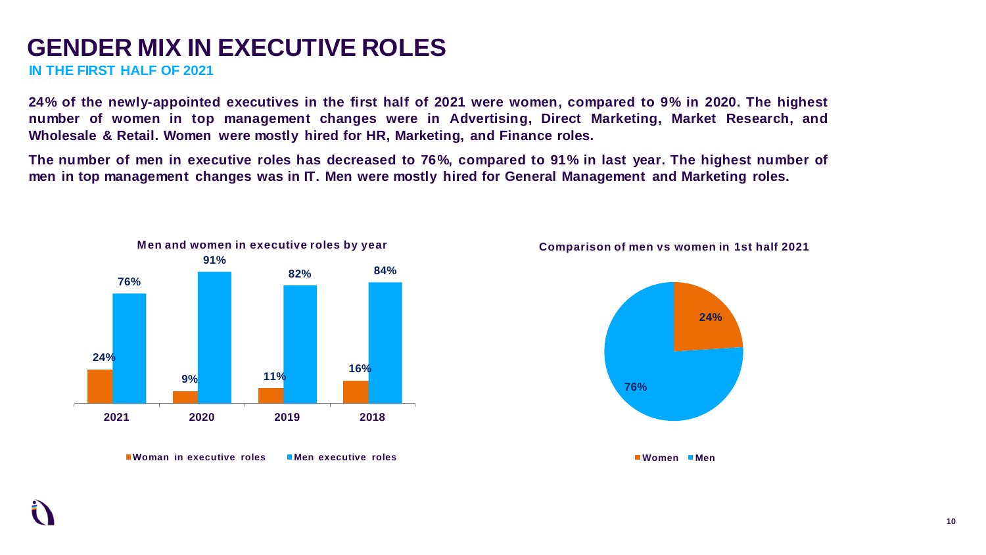#### **GENDER MIX IN EXECUTIVE ROLES**

**IN THE FIRST HALF OF 2021**

24% of the newly-appointed executives in the first half of 2021 were women, compared to 9% in 2020. The highest **number of women in top management changes were in Advertising, Direct Marketing, Market Research, and Wholesale & Retail. Women were mostly hired for HR, Marketing, and Finance roles.**

The number of men in executive roles has decreased to 76%, compared to 91% in last year. The highest number of men in top management changes was in IT. Men were mostly hired for General Management and Marketing roles.



**Woman in executive roles Men executive roles** 

**Comparison of men vs women in 1st half 2021**

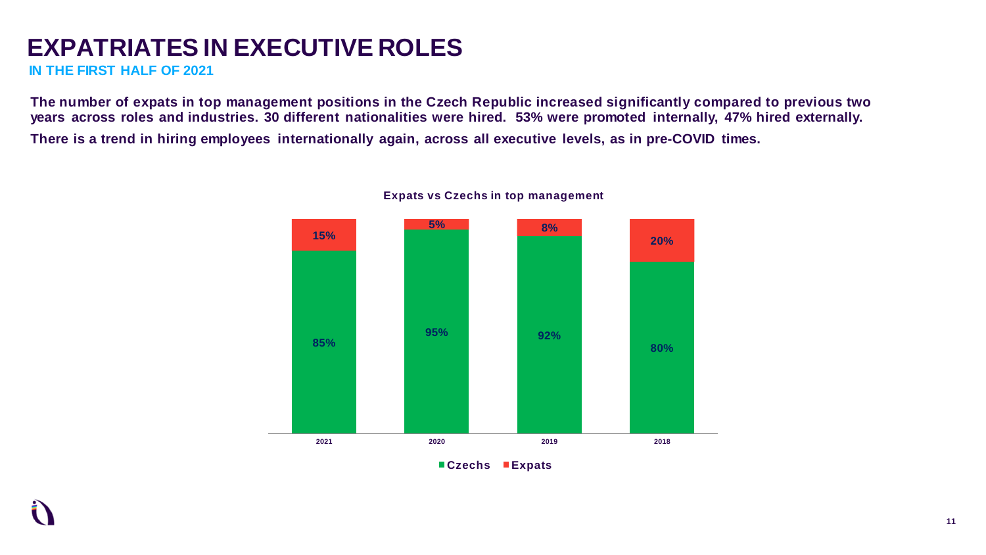# **EXPATRIATES IN EXECUTIVE ROLES**

**IN THE FIRST HALF OF 2021**

The number of expats in top management positions in the Czech Republic increased significantly compared to previous two years across roles and industries. 30 different nationalities were hired. 53% were promoted internally, 47% hired externally. There is a trend in hiring employees internationally again, across all executive levels, as in pre-COVID times.



#### **Expats vs Czechs in top management**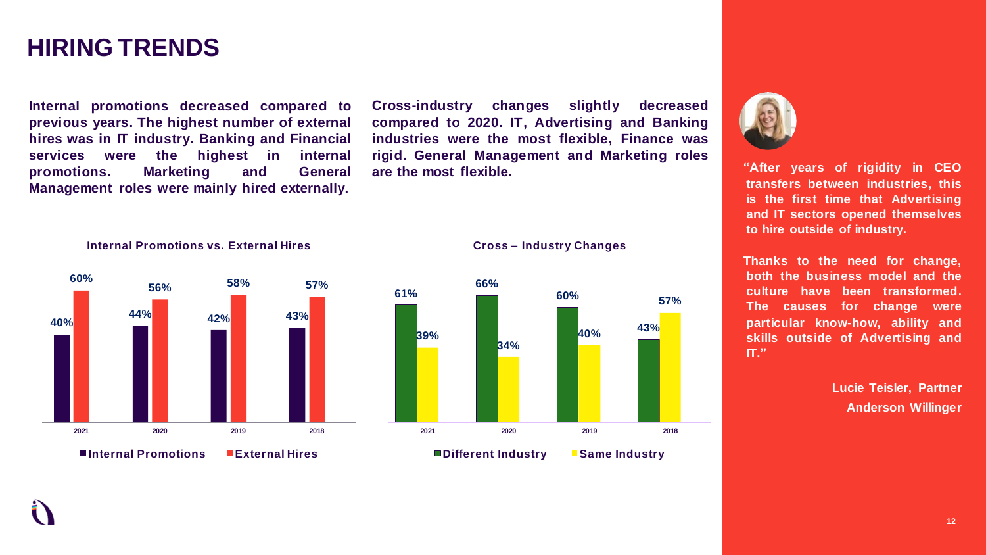#### **HIRING TRENDS**

**Internal promotions decreased compared to previous years. The highest number of external hires was in IT industry. Banking and Financial services were the highest in internal promotions. Marketing and General Management roles were mainly hired externally.**

**Internal Promotions vs. External Hires** 

**Cross-industry changes slightly decreased compared to 2020. IT, Advertising and Banking industries were the most flexible, Finance was rigid. General Management and Marketing roles are the most flexible.**









**"After years of rigidity in CEO transfers between industries, this is the first time that Advertising and IT sectors opened themselves to hire outside of industry.**

**Thanks to the need for change, both the business model and the culture have been transformed. The causes for change were particular know-how, ability and skills outside of Advertising and IT."**

> **Lucie Teisler, Partner Anderson Willinger**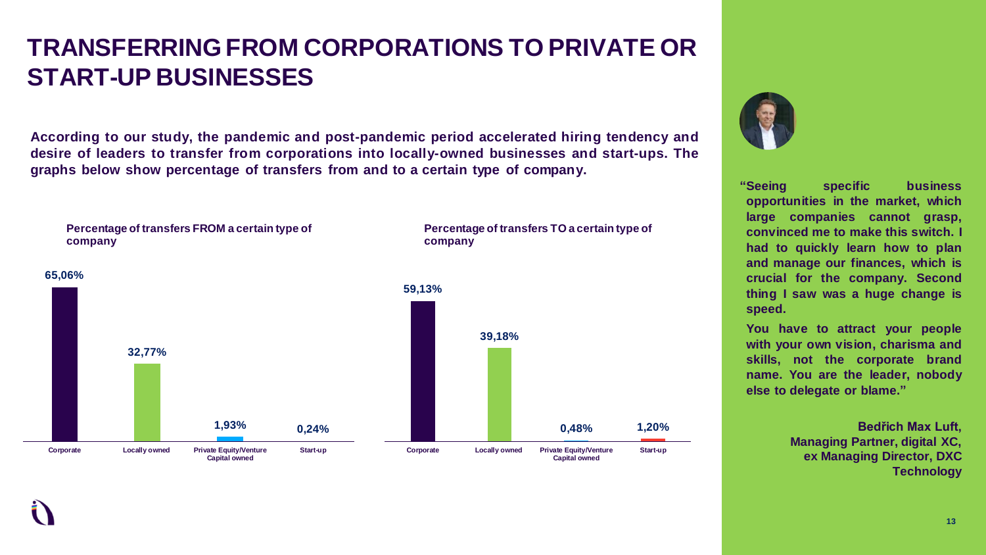# **TRANSFERRING FROM CORPORATIONS TO PRIVATE OR START-UP BUSINESSES**

**According to our study, the pandemic and post-pandemic period accelerated hiring tendency and desire of leaders to transfer from corporations into locally-owned businesses and start-ups. The graphs below show percentage of transfers from and to a certain type of company.**





**"Seeing specific business opportunities in the market, which large companies cannot grasp, convinced me to make this switch. I had to quickly learn how to plan and manage our finances, which is crucial for the company. Second thing I saw was a huge change is speed.**

**You have to attract your people with your own vision, charisma and skills, not the corporate brand name. You are the leader, nobody else to delegate or blame."**

> **Bedřich Max Luft, Managing Partner, digital XC, ex Managing Director, DXC Technology**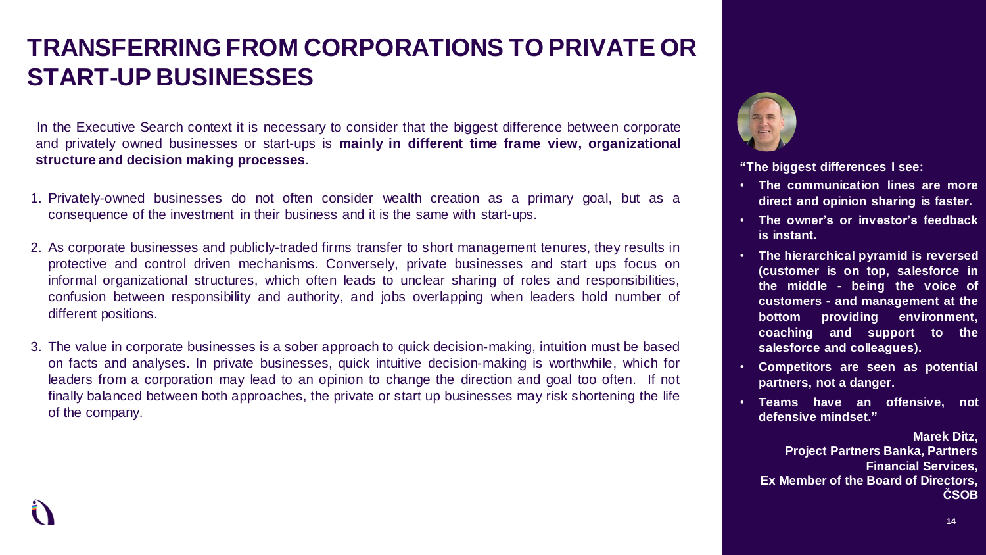# **TRANSFERRING FROM CORPORATIONS TO PRIVATE OR START-UP BUSINESSES**

In the Executive Search context it is necessary to consider that the biggest difference between corporate and privately owned businesses or start-ups is **mainly in different time frame view, organizational structure and decision making processes**.

- 1. Privately-owned businesses do not often consider wealth creation as a primary goal, but as a consequence of the investment in their business and it is the same with start-ups.
- 2. As corporate businesses and publicly-traded firms transfer to short management tenures, they results in protective and control driven mechanisms. Conversely, private businesses and start ups focus on informal organizational structures, which often leads to unclear sharing of roles and responsibilities, confusion between responsibility and authority, and jobs overlapping when leaders hold number of different positions.
- 3. The value in corporate businesses is a sober approach to quick decision-making, intuition must be based on facts and analyses. In private businesses, quick intuitive decision-making is worthwhile, which for leaders from a corporation may lead to an opinion to change the direction and goal too often. If not finally balanced between both approaches, the private or start up businesses may risk shortening the life of the company.



**"The biggest differences I see:**

- **The communication lines are more direct and opinion sharing is faster.**
- **The owner's or investor's feedback is instant.**
- **The hierarchical pyramid is reversed (customer is on top, salesforce in the middle - being the voice of customers - and management at the bottom providing environment, coaching and support to the salesforce and colleagues).**
- **Competitors are seen as potential partners, not a danger.**
- **Teams have an offensive, not defensive mindset."**

**Marek Ditz, Project Partners Banka, Partners Financial Services, Ex Member of the Board of Directors, ČSOB**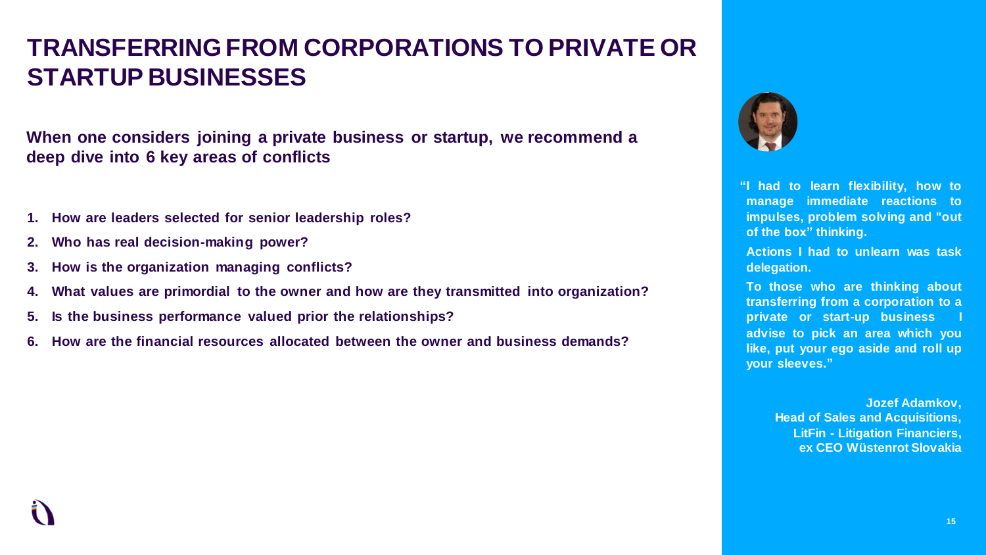# **TRANSFERRING FROM CORPORATIONS TO PRIVATE OR STARTUP BUSINESSES**

**When one considers joining a private business or startup, we recommend a deep dive into 6 key areas of conflicts**

- **1. How are leaders selected for senior leadership roles?**
- **2. Who has real decision-making power?**
- **3. How is the organization managing conflicts?**
- **4. What values are primordial to the owner and how are they transmitted into organization?**
- **5. Is the business performance valued prior the relationships?**
- **6. How are the financial resources allocated between the owner and business demands?**



**"I had to learn flexibility, how to manage immediate reactions to impulses, problem solving and "out of the box" thinking.**

**Actions I had to unlearn was task delegation.**

**To those who are thinking about transferring from a corporation to a private or start-up business I advise to pick an area which you like, put your ego aside and roll up your sleeves."**

> **Jozef Adamkov, Head of Sales and Acquisitions, LitFin - Litigation Financiers, ex CEO Wüstenrot Slovakia**